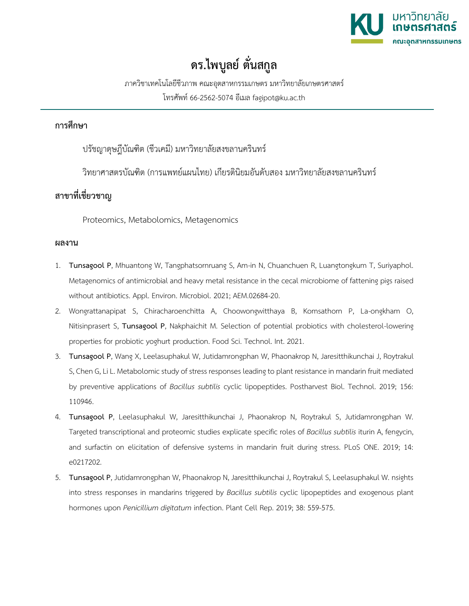

## **ดร.ไพบูลย์ ตั่นสกูล**

ภาควิชาเทคโนโลยีชีวภาพ คณะอุตสาหกรรมเกษตร มหาวิทยาลัยเกษตรศาสตร์ โทรศัพท์ 66-2562-5074 อีเมล fagipot@ku.ac.th

## **การศึกษา**

ปรัชญาดุษฎีบัณฑิต (ชีวเคมี) มหาวิทยาลัยสงขลานครินทร์

วิทยาศาสตรบัณฑิต (การแพทย์แผนไทย) เกียรตินิยมอันดับสอง มหาวิทยาลัยสงขลานครินทร์

## **สาขาที่เชี่ยวชาญ**

Proteomics, Metabolomics, Metagenomics

## **ผลงาน**

- 1. **Tunsagool P**, Mhuantong W, Tangphatsornruang S, Am-in N, Chuanchuen R, Luangtongkum T, Suriyaphol. Metagenomics of antimicrobial and heavy metal resistance in the cecal microbiome of fattening pigs raised without antibiotics. Appl. Environ. Microbiol. 2021; AEM.02684-20.
- 2. Wongrattanapipat S, Chiracharoenchitta A, Choowongwitthaya B, Komsathorn P, La-ongkham O, Nitisinprasert S, **Tunsagool P**, Nakphaichit M. Selection of potential probiotics with cholesterol-lowering properties for probiotic yoghurt production. Food Sci. Technol. Int. 2021.
- 3. **Tunsagool P**, Wang X, Leelasuphakul W, Jutidamrongphan W, Phaonakrop N, Jaresitthikunchai J, Roytrakul S, Chen G, Li L. Metabolomic study of stress responses leading to plant resistance in mandarin fruit mediated by preventive applications of *Bacillus subtilis* cyclic lipopeptides. Postharvest Biol. Technol. 2019; 156: 110946.
- 4. **Tunsagool P**, Leelasuphakul W, Jaresitthikunchai J, Phaonakrop N, Roytrakul S, Jutidamrongphan W. Targeted transcriptional and proteomic studies explicate specific roles of *Bacillus subtilis* iturin A, fengycin, and surfactin on elicitation of defensive systems in mandarin fruit during stress. PLoS ONE. 2019; 14: e0217202.
- 5. **Tunsagool P**, Jutidamrongphan W, Phaonakrop N, Jaresitthikunchai J, Roytrakul S, Leelasuphakul W. nsights into stress responses in mandarins triggered by *Bacillus subtilis* cyclic lipopeptides and exogenous plant hormones upon *Penicillium digitatum* infection. Plant Cell Rep. 2019; 38: 559-575.